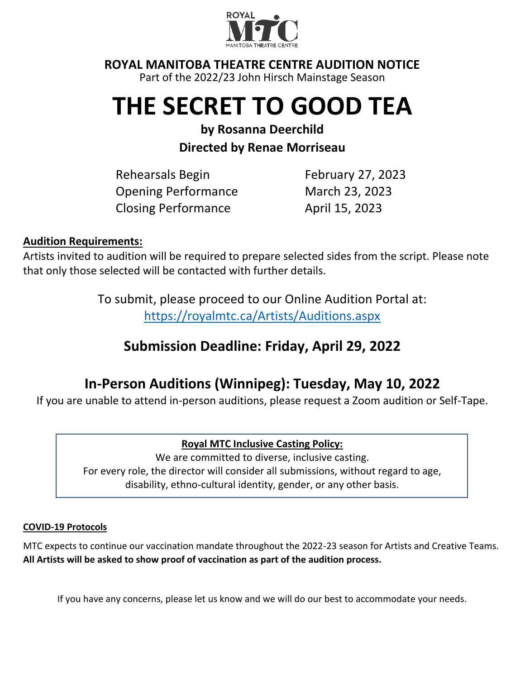

## **ROYAL MANITOBA THEATRE CENTRE AUDITION NOTICE**

Part of the 2022/23 John Hirsch Mainstage Season

# **THE SECRET TO GOOD TEA**

#### **by Rosanna Deerchild Directed by Renae Morriseau**

Rehearsals Begin February 27, 2023 Opening Performance March 23, 2023 Closing Performance April 15, 2023

#### **Audition Requirements:**

Artists invited to audition will be required to prepare selected sides from the script. Please note that only those selected will be contacted with further details.

> To submit, please proceed to our Online Audition Portal at: <https://royalmtc.ca/Artists/Auditions.aspx>

### **Submission Deadline: Friday, April 29, 2022**

## **In-Person Auditions (Winnipeg): Tuesday, May 10, 2022**

If you are unable to attend in-person auditions, please request a Zoom audition or Self-Tape.

#### **Royal MTC Inclusive Casting Policy:**

We are committed to diverse, inclusive casting. For every role, the director will consider all submissions, without regard to age, disability, ethno-cultural identity, gender, or any other basis.

#### **COVID-19 Protocols**

MTC expects to continue our vaccination mandate throughout the 2022-23 season for Artists and Creative Teams. **All Artists will be asked to show proof of vaccination as part of the audition process.**

If you have any concerns, please let us know and we will do our best to accommodate your needs.